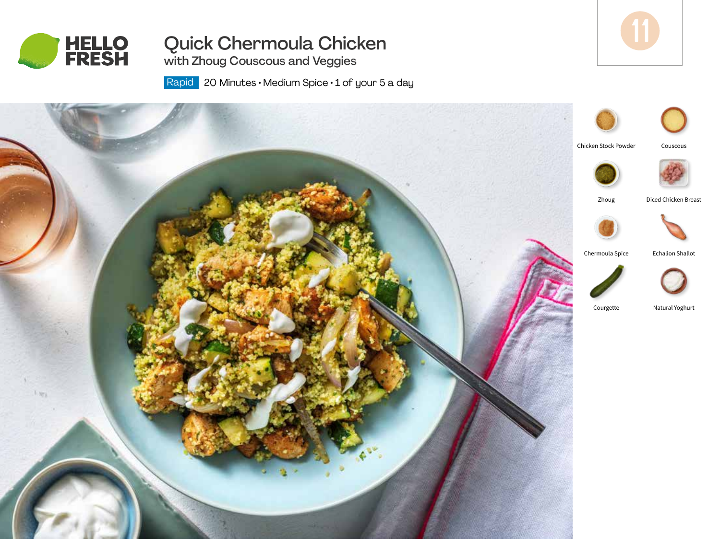

# Quick Chermoula Chicken

with Zhoug Couscous and Veggies

Rapid | 20 Minutes • Medium Spice • 1 of your 5 a day